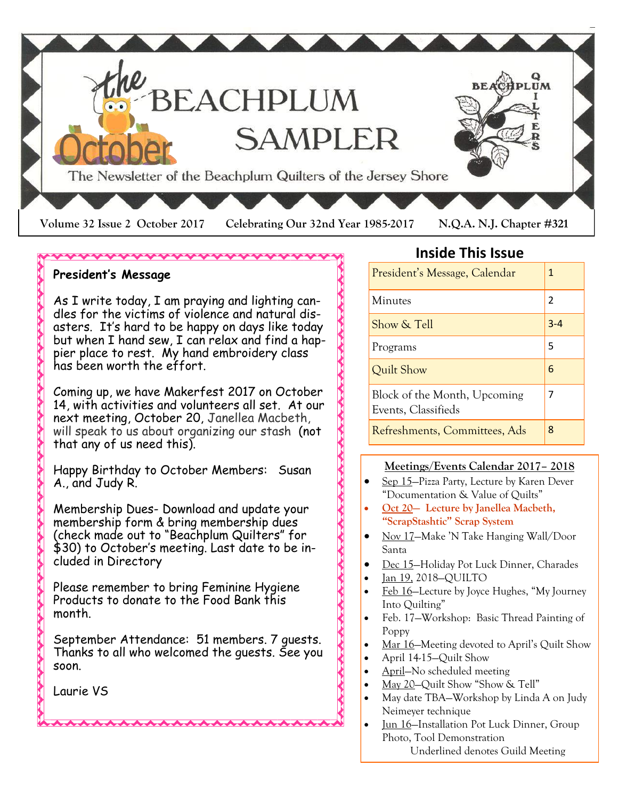

#### 

#### **President's Message**

As I write today, I am praying and lighting candles for the victims of violence and natural disasters. It's hard to be happy on days like today but when I hand sew, I can relax and find a happier place to rest. My hand embroidery class has been worth the effort.

Coming up, we have Makerfest 2017 on October 14, with activities and volunteers all set. At our next meeting, October 20, Janellea Macbeth, will speak to us about organizing our stash (not that any of us need this).

Happy Birthday to October Members: Susan A., and Judy R.

Membership Dues- Download and update your membership form & bring membership dues (check made out to "Beachplum Quilters" for \$30) to October's meeting. Last date to be included in Directory

Please remember to bring Feminine Hygiene Products to donate to the Food Bank this month.

**AAAAAAAAA** 

September Attendance: 51 members. 7 guests. Thanks to all who welcomed the guests. See you soon.

Laurie VS

## **Inside This Issue**

| President's Message, Calendar                       | 1              |
|-----------------------------------------------------|----------------|
| Minutes                                             | $\mathfrak{p}$ |
| Show & Tell                                         | $3 - 4$        |
| Programs                                            | 5              |
| Quilt Show                                          | 6              |
| Block of the Month, Upcoming<br>Events, Classifieds | 7              |
| Refreshments, Committees, Ads                       | 8              |

#### **Meetings/Events Calendar 2017– 2018**

- Sep 15—Pizza Party, Lecture by Karen Dever "Documentation & Value of Quilts"
- **Oct 20— Lecture by Janellea Macbeth, "ScrapStashtic" Scrap System**
- Nov 17—Make 'N Take Hanging Wall/Door Santa
- Dec 15—Holiday Pot Luck Dinner, Charades
- Jan 19, 2018—QUILTO
- Feb 16—Lecture by Joyce Hughes, "My Journey Into Quilting"
- Feb. 17—Workshop: Basic Thread Painting of Poppy
- Mar 16—Meeting devoted to April's Quilt Show
- April 14-15—Quilt Show
- April—No scheduled meeting
- May 20—Quilt Show "Show & Tell"
- May date TBA—Workshop by Linda A on Judy Neimeyer technique
- Jun 16—Installation Pot Luck Dinner, Group Photo, Tool Demonstration Underlined denotes Guild Meeting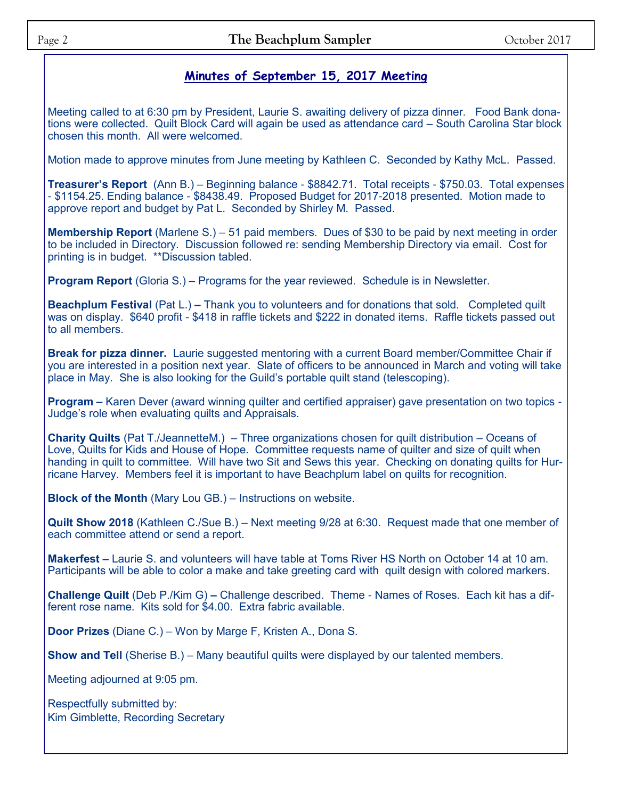## **Minutes of September 15, 2017 Meeting**

Meeting called to at 6:30 pm by President, Laurie S. awaiting delivery of pizza dinner. Food Bank donations were collected. Quilt Block Card will again be used as attendance card – South Carolina Star block chosen this month. All were welcomed.

Motion made to approve minutes from June meeting by Kathleen C. Seconded by Kathy McL. Passed.

**Treasurer's Report** (Ann B.) – Beginning balance - \$8842.71. Total receipts - \$750.03. Total expenses - \$1154.25. Ending balance - \$8438.49. Proposed Budget for 2017-2018 presented. Motion made to approve report and budget by Pat L. Seconded by Shirley M. Passed.

**Membership Report** (Marlene S.) – 51 paid members. Dues of \$30 to be paid by next meeting in order to be included in Directory. Discussion followed re: sending Membership Directory via email. Cost for printing is in budget. \*\*Discussion tabled.

**Program Report** (Gloria S.) – Programs for the year reviewed. Schedule is in Newsletter.

**Beachplum Festival** (Pat L.) – Thank you to volunteers and for donations that sold. Completed quilt was on display. \$640 profit - \$418 in raffle tickets and \$222 in donated items. Raffle tickets passed out to all members.

**Break for pizza dinner.** Laurie suggested mentoring with a current Board member/Committee Chair if you are interested in a position next year. Slate of officers to be announced in March and voting will take place in May. She is also looking for the Guild's portable quilt stand (telescoping).

**Program –** Karen Dever (award winning quilter and certified appraiser) gave presentation on two topics - Judge's role when evaluating quilts and Appraisals.

**Charity Quilts** (Pat T./JeannetteM.) – Three organizations chosen for quilt distribution – Oceans of Love, Quilts for Kids and House of Hope. Committee requests name of quilter and size of quilt when handing in quilt to committee. Will have two Sit and Sews this year. Checking on donating quilts for Hurricane Harvey. Members feel it is important to have Beachplum label on quilts for recognition.

**Block of the Month** (Mary Lou GB.) – Instructions on website.

**Quilt Show 2018** (Kathleen C./Sue B.) – Next meeting 9/28 at 6:30. Request made that one member of each committee attend or send a report.

**Makerfest –** Laurie S. and volunteers will have table at Toms River HS North on October 14 at 10 am. Participants will be able to color a make and take greeting card with quilt design with colored markers.

**Challenge Quilt** (Deb P./Kim G) **–** Challenge described. Theme - Names of Roses. Each kit has a different rose name. Kits sold for \$4.00. Extra fabric available.

**Door Prizes** (Diane C.) – Won by Marge F, Kristen A., Dona S.

**Show and Tell** (Sherise B.) – Many beautiful quilts were displayed by our talented members.

Meeting adjourned at 9:05 pm.

Respectfully submitted by: Kim Gimblette, Recording Secretary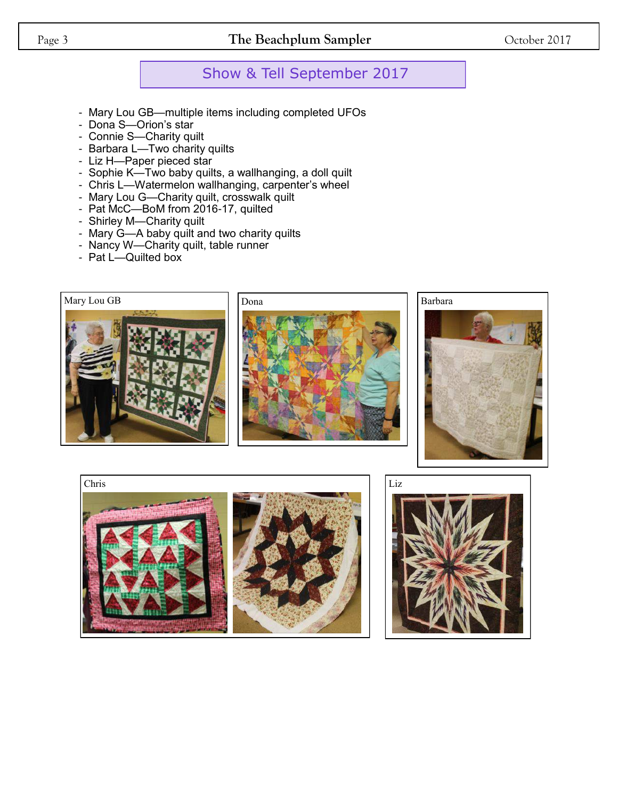### Page 3 **The Beachplum Sampler** October 2017

## Show & Tell September 2017

- Mary Lou GB—multiple items including completed UFOs
- Dona S—Orion's star
- Connie S—Charity quilt
- Barbara L—Two charity quilts
- Liz H—Paper pieced star
- Sophie K—Two baby quilts, a wallhanging, a doll quilt
- Chris L—Watermelon wallhanging, carpenter's wheel
- Mary Lou G—Charity quilt, crosswalk quilt
- Pat McC—BoM from 2016-17, quilted
- Shirley M—Charity quilt
- Mary G—A baby quilt and two charity quilts
- Nancy W—Charity quilt, table runner
- Pat L—Quilted box

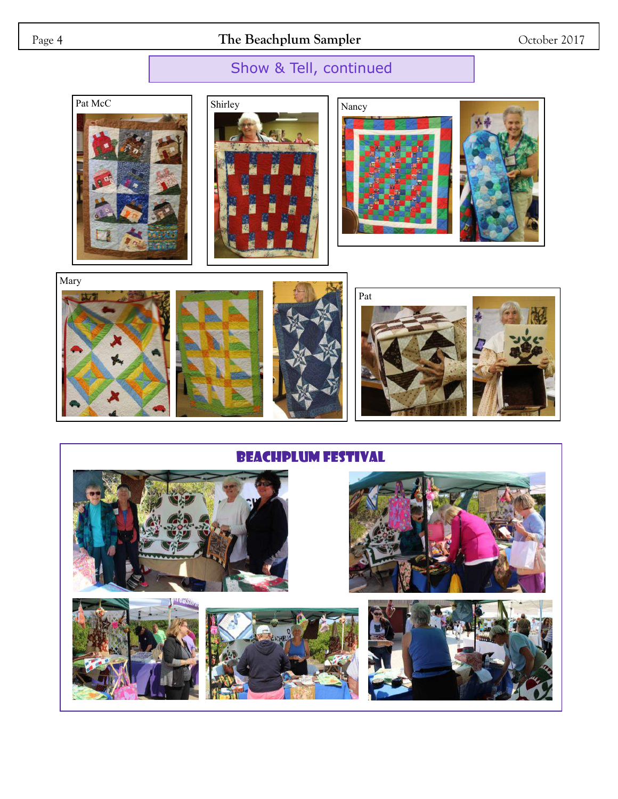Page 4 **The Beachplum Sampler** October 2017

# Show & Tell, continued







Mary Pat

BEACHPLUM FESTIVAL

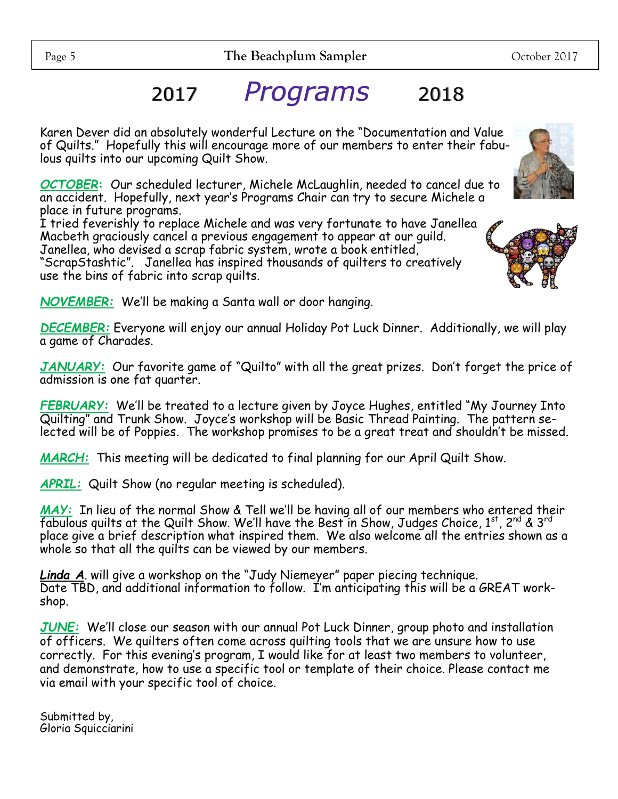Karen Dever did an absolutely wonderful Lecture on the "Documentation and Value of Quilts." Hopefully this will encourage more of our members to enter their fabulous quilts into our upcoming Quilt Show.

*OCTOBER***:** Our scheduled lecturer, Michele McLaughlin, needed to cancel due to an accident. Hopefully, next year's Programs Chair can try to secure Michele a place in future programs.

I tried feverishly to replace Michele and was very fortunate to have Janellea Macbeth graciously cancel a previous engagement to appear at our guild. Janellea, who devised a scrap fabric system, wrote a book entitled,

"ScrapStashtic". Janellea has inspired thousands of quilters to creatively use the bins of fabric into scrap quilts.

*NOVEMBER:* We'll be making a Santa wall or door hanging.

*DECEMBER:* Everyone will enjoy our annual Holiday Pot Luck Dinner. Additionally, we will play a game of Charades.

*JANUARY:* Our favorite game of "Quilto" with all the great prizes. Don't forget the price of admission is one fat quarter.

*FEBRUARY:* We'll be treated to a lecture given by Joyce Hughes, entitled "My Journey Into Quilting" and Trunk Show. Joyce's workshop will be Basic Thread Painting. The pattern selected will be of Poppies. The workshop promises to be a great treat and shouldn't be missed.

*MARCH:* This meeting will be dedicated to final planning for our April Quilt Show.

*APRIL:* Quilt Show (no regular meeting is scheduled).

*MAY:* In lieu of the normal Show & Tell we'll be having all of our members who entered their  $\bar{f}$ abulous quilts at the Quilt Show. We'll have the Best in Show, Judges Choice, 1st, 2nd & 3rd place give a brief description what inspired them. We also welcome all the entries shown as a whole so that all the quilts can be viewed by our members.

*Linda A*. will give a workshop on the "Judy Niemeyer" paper piecing technique. Date TBD, and additional information to follow. I'm anticipating this will be a GREAT workshop.

*JUNE:* We'll close our season with our annual Pot Luck Dinner, group photo and installation of officers. We quilters often come across quilting tools that we are unsure how to use correctly. For this evening's program, I would like for at least two members to volunteer, and demonstrate, how to use a specific tool or template of their choice. Please contact me via email with your specific tool of choice.

Submitted by, Gloria Squicciarini



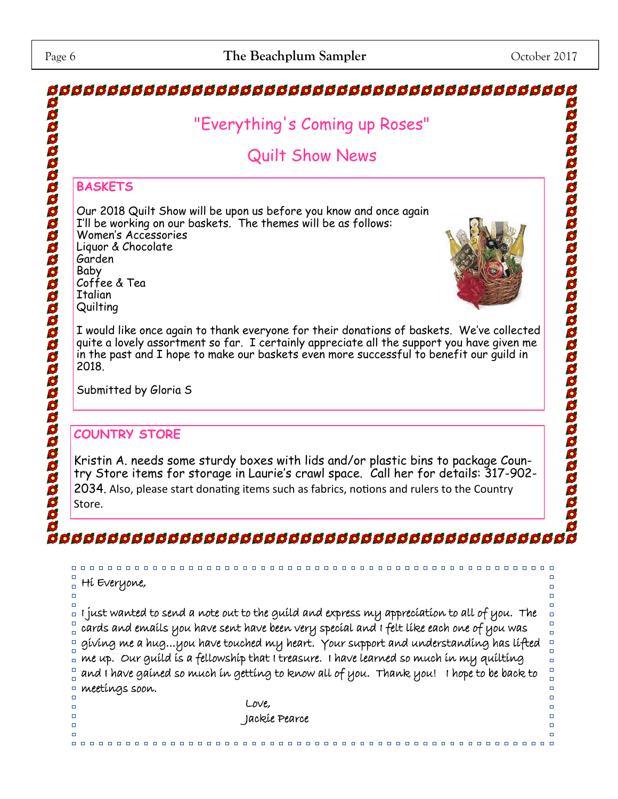#### \$ 8888888888888888888888888888888888888 "Everything's Coming up Roses" aaaaaaaaaaaaaaaaaaaaaaaaaaaa Quilt Show News **BASKETS** Our 2018 Quilt Show will be upon us before you know and once again I'll be working on our baskets. The themes will be as follows: Women's Accessories Liquor & Chocolate Garden Baby Coffee & Tea Italian **Quilting** I would like once again to thank everyone for their donations of baskets. We've collected quite a lovely assortment so far. I certainly appreciate all the support you have given me in the past and I hope to make our baskets even more successful to benefit our guild in 2018. Submitted by Gloria S **COUNTRY STORE** Kristin A. needs some sturdy boxes with lids and/or plastic bins to package Country Store items for storage in Laurie's crawl space. Call her for details: 317-902- 2034. Also, please start donating items such as fabrics, notions and rulers to the Country Store.  $\begin{array}{ccc} \square & \square & \square & \square \end{array}$  $\Box$ Hi Everyone,  $\Box$ I just wanted to send a note out to the guild and express my appreciation to all of you. The  $\Box$ cards and emails you have sent have been very special and I felt like each one of you was giving me a hug…you have touched my heart. Your support and understanding has lifted me up. Our guild is a fellowship that I treasure. I have learned so much in my quilting  $\Box$ and I have gained so much in getting to know all of you. Thank you! I hope to be back to meetings soon.  $\Box$  $\Box$  $\Box$  Love,  $\Box$  $\Box$  Jackie Pearce  $\overline{a}$  $\Box$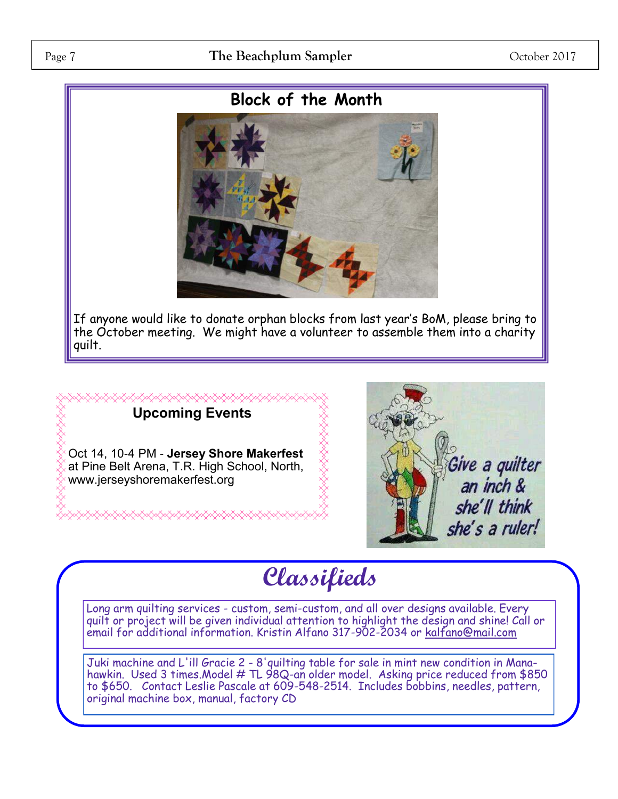# **Block of the Month**



If anyone would like to donate orphan blocks from last year's BoM, please bring to the October meeting. We might have a volunteer to assemble them into a charity quilt.



Oct 14, 10-4 PM - **Jersey Shore Makerfest**  at Pine Belt Arena, T.R. High School, North, www.jerseyshoremakerfest.org



# **Classifieds**

Long arm quilting services - custom, semi-custom, and all over designs available. Every quilt or project will be given individual attention to highlight the design and shine! Call or email for additional information. Kristin Alfano 317-902-2034 or [kalfano@mail.com](mailto:kalfano@mail.com)

Juki machine and L'ill Gracie 2 - 8'quilting table for sale in mint new condition in Manahawkin. Used 3 times.Model # TL 98Q-an older model. Asking price reduced from \$850 to \$650. Contact Leslie Pascale at 609-548-2514. Includes bobbins, needles, pattern, original machine box, manual, factory CD